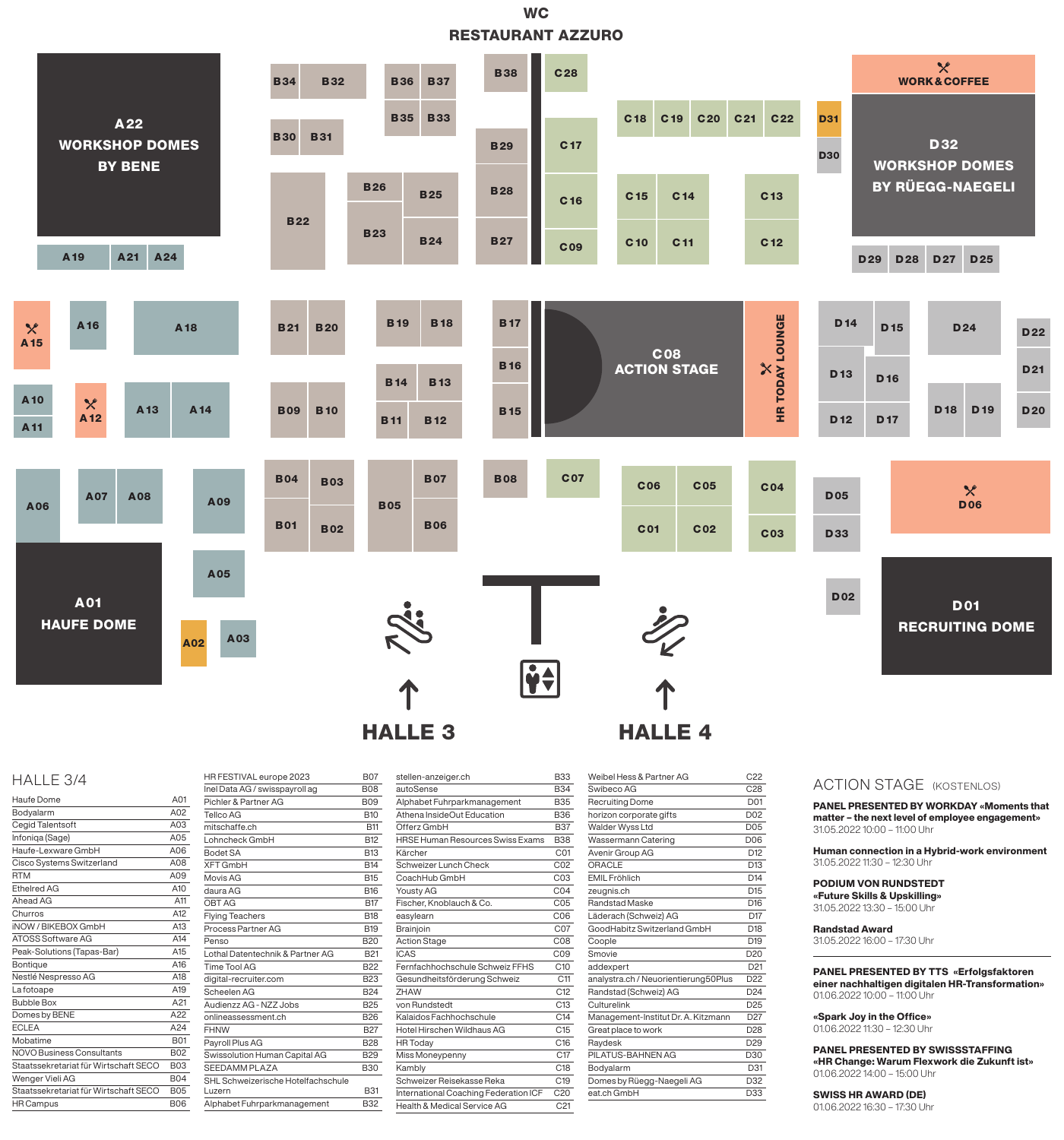RESTAURANT AZZURO **WC** 



## HALLE 3/4

| Haufe Dome                            | A01             |
|---------------------------------------|-----------------|
| Bodyalarm                             | A02             |
| <b>Cegid Talentsoft</b>               | A <sub>03</sub> |
| Infoniqa (Sage)                       | A05             |
| Haufe-Lexware GmbH                    | A06             |
| Cisco Systems Switzerland             | A08             |
| <b>RTM</b>                            | A09             |
| <b>Fthelred AG</b>                    | A10             |
| Ahead AG                              | A11             |
| Churros                               | A12             |
| <b>INOW / BIKEBOX GmbH</b>            | A13             |
| ATOSS Software AG                     | A <sub>14</sub> |
| Peak-Solutions (Tapas-Bar)            | A <sub>15</sub> |
| <b>Bontique</b>                       | A16             |
| Nestlé Nespresso AG                   | A18             |
| La fotoape                            | A19             |
| <b>Bubble Box</b>                     | A21             |
| Domes by BENE                         | A22             |
| <b>ECLEA</b>                          | A24             |
| Mobatime                              | <b>B01</b>      |
| <b>NOVO Business Consultants</b>      | <b>B02</b>      |
| Staatssekretariat für Wirtschaft SECO | <b>B03</b>      |
| Wenger Vieli AG                       | <b>B04</b>      |
| Staatssekretariat für Wirtschaft SECO | <b>B05</b>      |
| <b>HR Campus</b>                      | <b>B06</b>      |
|                                       |                 |

| HR FESTIVAL europe 2023            | <b>B07</b> |
|------------------------------------|------------|
| Inel Data AG / swisspayroll ag     | <b>B08</b> |
| Pichler & Partner AG               | <b>B09</b> |
| Tellco AG                          | <b>B10</b> |
| mitschaffe.ch                      | <b>B11</b> |
| Lohncheck GmbH                     | <b>B12</b> |
| <b>Bodet SA</b>                    | <b>B13</b> |
| <b>XFT GmhH</b>                    | <b>B14</b> |
| Movis AG                           | <b>B15</b> |
| daura AG                           | <b>B16</b> |
| <b>OBT AG</b>                      | <b>B17</b> |
| <b>Flying Teachers</b>             | <b>B18</b> |
| Process Partner AG                 | <b>B19</b> |
| Penso                              | <b>B20</b> |
| Lothal Datentechnik & Partner AG   | <b>B21</b> |
| Time Tool AG                       | <b>B22</b> |
| digital-recruiter.com              | <b>B23</b> |
| Scheelen AG                        | <b>B24</b> |
| Audienzz AG - NZZ Jobs             | <b>B25</b> |
| onlineassessment.ch                | <b>B26</b> |
| <b>FHNW</b>                        | <b>B27</b> |
| Payroll Plus AG                    | <b>B28</b> |
| Swissolution Human Capital AG      | <b>B29</b> |
| <b>SEEDAMM PLAZA</b>               | <b>B30</b> |
| SHL Schweizerische Hotelfachschule |            |
| Luzern                             | B31        |
| Alphabet Fuhrparkmanagement        | <b>B32</b> |

| stellen-anzeiger.ch                     | <b>B33</b>      |
|-----------------------------------------|-----------------|
| autoSense                               | <b>B34</b>      |
| Alphabet Fuhrparkmanagement             | <b>B35</b>      |
| Athena InsideOut Education              | <b>B36</b>      |
| Offerz GmbH                             | <b>B37</b>      |
| <b>HRSE Human Resources Swiss Exams</b> | <b>B38</b>      |
| Kärcher                                 | CO <sub>1</sub> |
| Schweizer Lunch Check                   | CO <sub>2</sub> |
| CoachHub GmbH                           | CO <sub>3</sub> |
| Yousty AG                               | CO <sub>4</sub> |
| Fischer, Knoblauch & Co.                | C <sub>05</sub> |
| easylearn                               | CO6             |
| <b>Brainjoin</b>                        | CO <sub>7</sub> |
| <b>Action Stage</b>                     | CO8             |
| <b>ICAS</b>                             | C <sub>09</sub> |
| Fernfachhochschule Schweiz FFHS         | C10             |
| Gesundheitsförderung Schweiz            | C <sub>11</sub> |
| <b>7HAW</b>                             | C <sub>12</sub> |
| von Rundstedt                           | C13             |
| Kalaidos Fachhochschule                 | C <sub>14</sub> |
| Hotel Hirschen Wildhaus AG              | C15             |
| <b>HR</b> Today                         | C16             |
| Miss Moneypenny                         | C <sub>17</sub> |
| Kambly                                  | C18             |
| Schweizer Reisekasse Reka               | C19             |
| International Coaching Federation ICF   | C20             |
| Health & Medical Service AG             | C <sub>21</sub> |

| Weibel Hess & Partner AG             | C <sub>22</sub> |
|--------------------------------------|-----------------|
| Swibeco AG                           | C <sub>28</sub> |
| <b>Recruiting Dome</b>               | D <sub>01</sub> |
| horizon corporate gifts              | D <sub>02</sub> |
| Walder Wyss Ltd                      | D05             |
| Wassermann Catering                  | D <sub>06</sub> |
| Avenir Group AG                      | D <sub>12</sub> |
| <b>ORACLE</b>                        | D <sub>13</sub> |
| FMII Fröhlich                        | D14             |
| zeugnis.ch                           | D <sub>15</sub> |
| <b>Randstad Maske</b>                | D <sub>16</sub> |
| Läderach (Schweiz) AG                | D <sub>17</sub> |
| GoodHabitz Switzerland GmbH          | D <sub>18</sub> |
| Coople                               | D <sub>19</sub> |
| Smovie                               | D <sub>20</sub> |
| addexpert                            | D <sub>21</sub> |
| analystra.ch / Neuorientierung50Plus | D <sub>22</sub> |
| Randstad (Schweiz) AG                | D <sub>24</sub> |
| Culturelink                          | D <sub>25</sub> |
| Management-Institut Dr. A. Kitzmann  | D <sub>27</sub> |
| Great place to work                  | D <sub>28</sub> |
| Raydesk                              | D <sub>29</sub> |
| PILATUS-BAHNEN AG                    | D30             |
| Bodyalarm                            | D31             |
| Domes by Rüegg-Naegeli AG            | D32             |
| eat.ch GmbH                          | D33             |
|                                      |                 |

# **ACTION STAGE (KOSTENLOS)**

PANEL PRESENTED BY WORKDAY «Moments that matter – the next level of employee engagement» 31.05.2022 10:00 – 11:00 Uhr

Human connection in a Hybrid-work environment 31.05.2022 11:30 – 12:30 Uhr

PODIUM VON RUNDSTEDT «Future Skills & Upskilling»

31.05.2022 13:30 – 15:00 Uhr

Randstad Award 31.05.2022 16:00 – 17:30 Uhr

PANEL PRESENTED BY TTS «Erfolgsfaktoren einer nachhaltigen digitalen HR-Transformation» 01.06.2022 10:00 – 11:00 Uhr

«Spark Joy in the Office»

01.06.2022 11:30 – 12:30 Uhr

PANEL PRESENTED BY SWISSSTAFFING «HR Change: Warum Flexwork die Zukunft ist» 01.06.2022 14:00 – 15:00 Uhr

SWISS HR AWARD (DE) 01.06.2022 16:30 – 17:30 Uhr